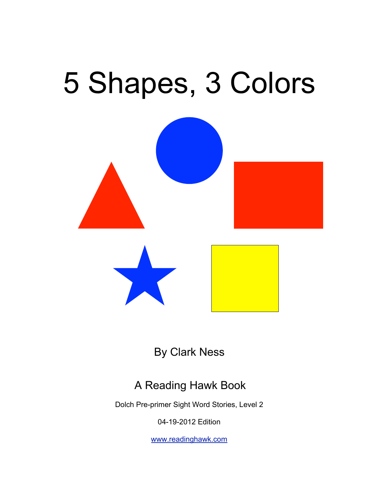# 5 Shapes, 3 Colors



By Clark Ness

#### A Reading Hawk Book

Dolch Pre-primer Sight Word Stories, Level 2

04-19-2012 Edition

[www.readinghawk.com](http://www.readinghawk.com)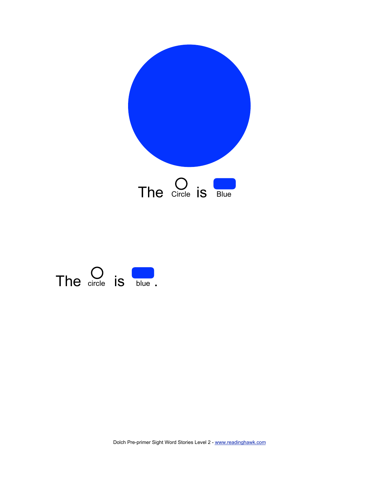

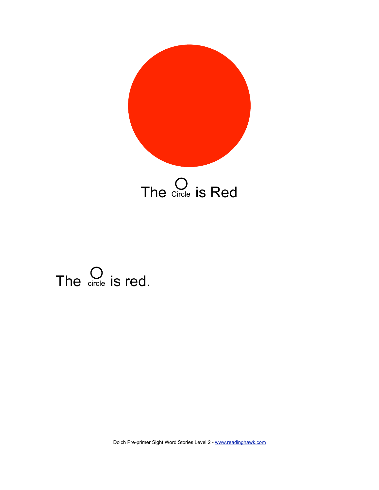

#### The  $\bigcirc$  circle is red.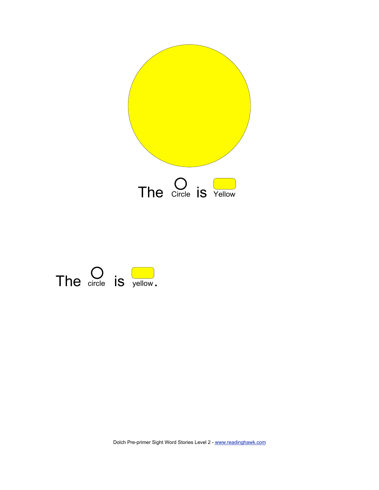

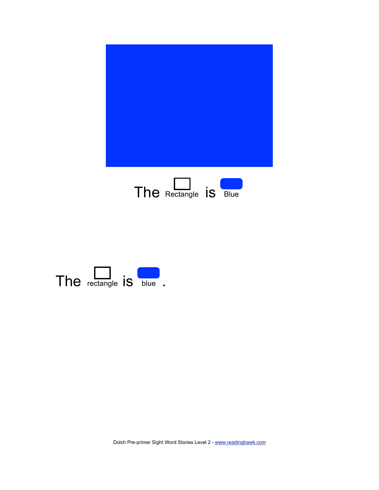

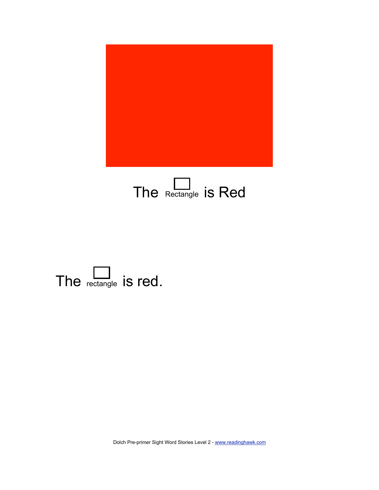

#### The Rectangle is Red

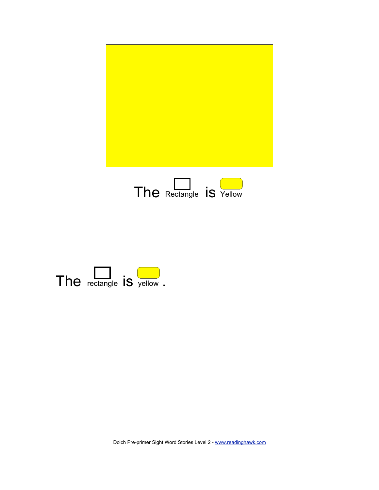

![](_page_6_Picture_1.jpeg)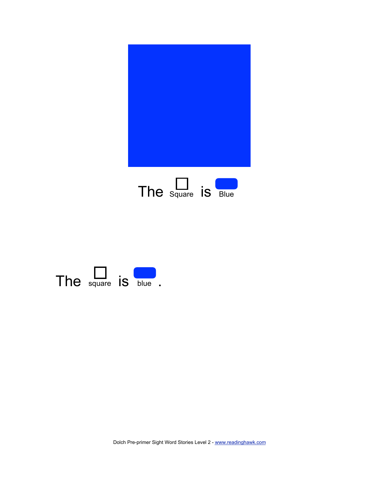![](_page_7_Picture_0.jpeg)

![](_page_7_Figure_1.jpeg)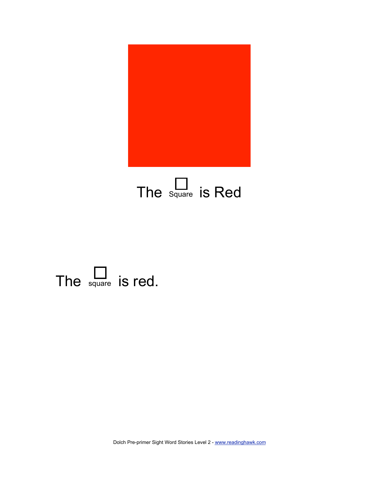![](_page_8_Picture_0.jpeg)

### The  $\sum_{\text{square}}$  is Red

![](_page_8_Picture_2.jpeg)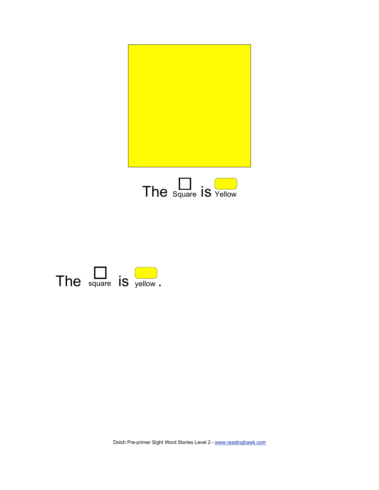![](_page_9_Picture_0.jpeg)

![](_page_9_Picture_1.jpeg)

![](_page_9_Picture_2.jpeg)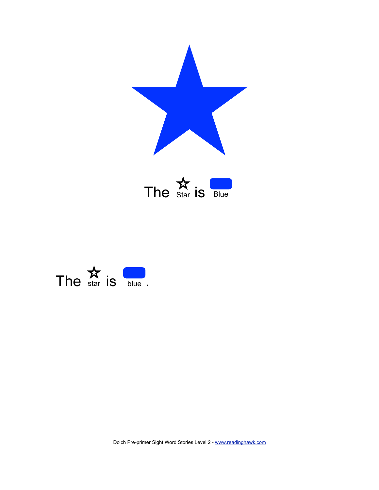![](_page_10_Picture_0.jpeg)

![](_page_10_Picture_1.jpeg)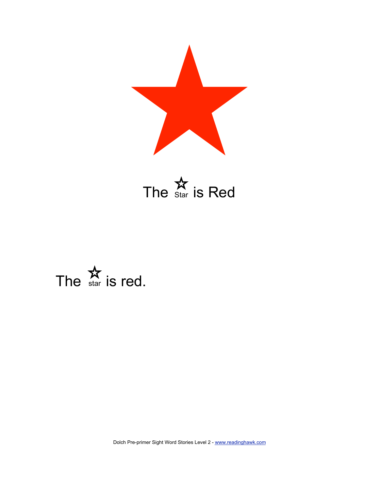![](_page_11_Picture_0.jpeg)

![](_page_11_Picture_1.jpeg)

![](_page_11_Picture_2.jpeg)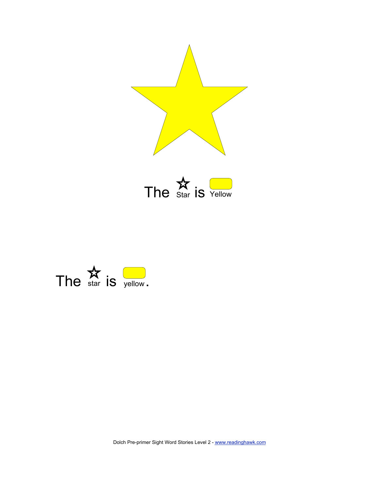![](_page_12_Picture_0.jpeg)

The  $\underset{\text{Star}}{\mathbf{\hat{X}}}$  is  $\underset{\text{Yellow}}{\square}$ 

![](_page_12_Picture_2.jpeg)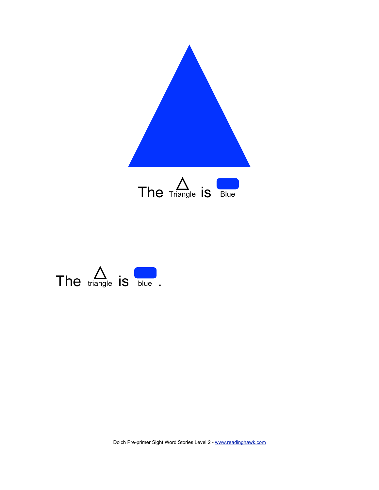![](_page_13_Picture_0.jpeg)

![](_page_13_Picture_1.jpeg)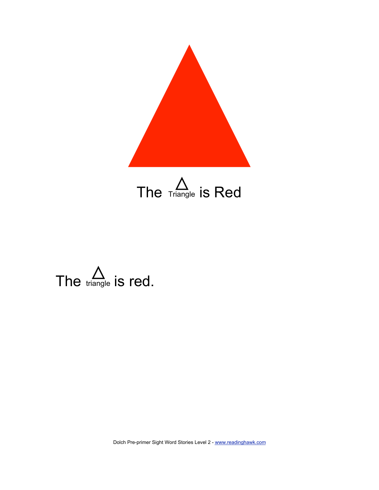![](_page_14_Picture_0.jpeg)

![](_page_14_Picture_1.jpeg)

![](_page_14_Picture_2.jpeg)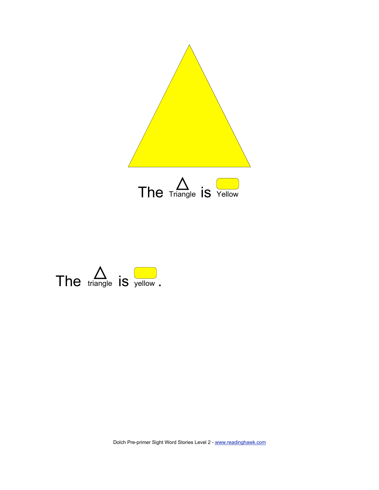![](_page_15_Picture_0.jpeg)

![](_page_15_Picture_1.jpeg)